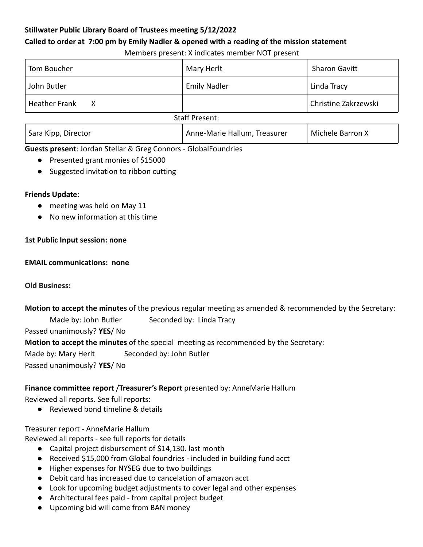# **Stillwater Public Library Board of Trustees meeting 5/12/2022**

### **Called to order at 7:00 pm by Emily Nadler & opened with a reading of the mission statement**

Members present: X indicates member NOT present

| Tom Boucher               | Mary Herlt                   | <b>Sharon Gavitt</b> |
|---------------------------|------------------------------|----------------------|
| John Butler               | <b>Emily Nadler</b>          | Linda Tracy          |
| <b>Heather Frank</b><br>x |                              | Christine Zakrzewski |
| <b>Staff Present:</b>     |                              |                      |
| Sara Kipp, Director       | Anne-Marie Hallum, Treasurer | Michele Barron X     |

**Guests present**: Jordan Stellar & Greg Connors - GlobalFoundries

- Presented grant monies of \$15000
- Suggested invitation to ribbon cutting

# **Friends Update**:

- meeting was held on May 11
- No new information at this time

# **1st Public Input session: none**

### **EMAIL communications: none**

**Old Business:**

**Motion to accept the minutes** of the previous regular meeting as amended & recommended by the Secretary: Made by: John Butler Seconded by: Linda Tracy Passed unanimously? **YES**/ No **Motion to accept the minutes** of the special meeting as recommended by the Secretary: Made by: Mary Herlt Seconded by: John Butler

Passed unanimously? **YES**/ No

# **Finance committee report** /**Treasurer's Report** presented by: AnneMarie Hallum

Reviewed all reports. See full reports:

● Reviewed bond timeline & details

Treasurer report - AnneMarie Hallum

Reviewed all reports - see full reports for details

- Capital project disbursement of \$14,130. last month
- Received \$15,000 from Global foundries included in building fund acct
- Higher expenses for NYSEG due to two buildings
- Debit card has increased due to cancelation of amazon acct
- Look for upcoming budget adjustments to cover legal and other expenses
- Architectural fees paid from capital project budget
- Upcoming bid will come from BAN money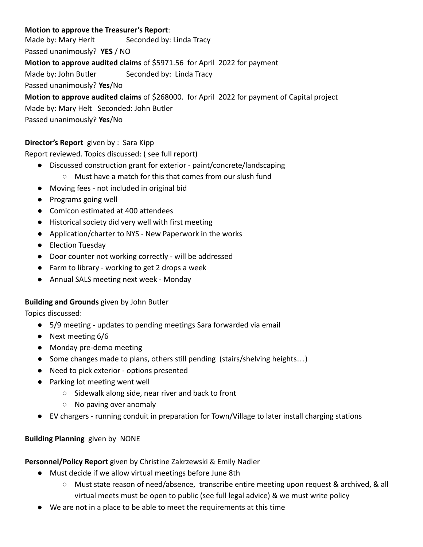### **Motion to approve the Treasurer's Report**:

Made by: Mary Herlt Seconded by: Linda Tracy Passed unanimously? **YES** / NO **Motion to approve audited claims** of \$5971.56 for April 2022 for payment Made by: John Butler Seconded by: Linda Tracy Passed unanimously? **Yes**/No

**Motion to approve audited claims** of \$268000. for April 2022 for payment of Capital project Made by: Mary Helt Seconded: John Butler Passed unanimously? **Yes**/No

### **Director's Report** given by : Sara Kipp

Report reviewed. Topics discussed: ( see full report)

- Discussed construction grant for exterior paint/concrete/landscaping
	- Must have a match for this that comes from our slush fund
- Moving fees not included in original bid
- Programs going well
- Comicon estimated at 400 attendees
- Historical society did very well with first meeting
- Application/charter to NYS New Paperwork in the works
- Election Tuesday
- Door counter not working correctly will be addressed
- Farm to library working to get 2 drops a week
- Annual SALS meeting next week Monday

#### **Building and Grounds** given by John Butler

Topics discussed:

- 5/9 meeting updates to pending meetings Sara forwarded via email
- Next meeting 6/6
- Monday pre-demo meeting
- Some changes made to plans, others still pending (stairs/shelving heights...)
- Need to pick exterior options presented
- Parking lot meeting went well
	- Sidewalk along side, near river and back to front
	- No paving over anomaly
- EV chargers running conduit in preparation for Town/Village to later install charging stations

#### **Building Planning** given by NONE

#### **Personnel/Policy Report** given by Christine Zakrzewski & Emily Nadler

- Must decide if we allow virtual meetings before June 8th
	- Must state reason of need/absence, transcribe entire meeting upon request & archived, & all virtual meets must be open to public (see full legal advice) & we must write policy
- We are not in a place to be able to meet the requirements at this time